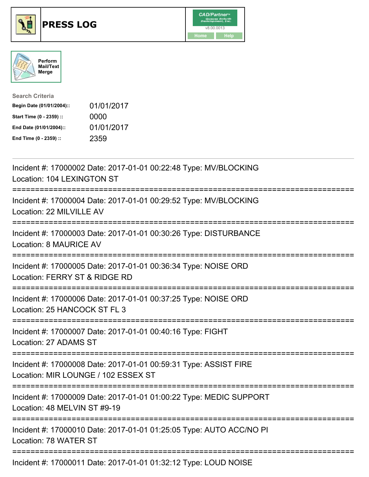





| <b>Search Criteria</b>    |            |
|---------------------------|------------|
| Begin Date (01/01/2004):: | 01/01/2017 |
| Start Time (0 - 2359) ::  | 0000       |
| End Date (01/01/2004)::   | 01/01/2017 |
| End Time (0 - 2359) ::    | 2359       |

| Incident #: 17000002 Date: 2017-01-01 00:22:48 Type: MV/BLOCKING<br>Location: 104 LEXINGTON ST                    |
|-------------------------------------------------------------------------------------------------------------------|
| Incident #: 17000004 Date: 2017-01-01 00:29:52 Type: MV/BLOCKING<br>Location: 22 MILVILLE AV<br>================= |
| Incident #: 17000003 Date: 2017-01-01 00:30:26 Type: DISTURBANCE<br>Location: 8 MAURICE AV<br>-----------------   |
| Incident #: 17000005 Date: 2017-01-01 00:36:34 Type: NOISE ORD<br>Location: FERRY ST & RIDGE RD<br>===========    |
| Incident #: 17000006 Date: 2017-01-01 00:37:25 Type: NOISE ORD<br>Location: 25 HANCOCK ST FL 3                    |
| Incident #: 17000007 Date: 2017-01-01 00:40:16 Type: FIGHT<br>Location: 27 ADAMS ST                               |
| Incident #: 17000008 Date: 2017-01-01 00:59:31 Type: ASSIST FIRE<br>Location: MIR LOUNGE / 102 ESSEX ST           |
| Incident #: 17000009 Date: 2017-01-01 01:00:22 Type: MEDIC SUPPORT<br>Location: 48 MELVIN ST #9-19                |
| Incident #: 17000010 Date: 2017-01-01 01:25:05 Type: AUTO ACC/NO PI<br>Location: 78 WATER ST                      |
| Incident #: 17000011 Date: 2017-01-01 01:32:12 Type: LOUD NOISE                                                   |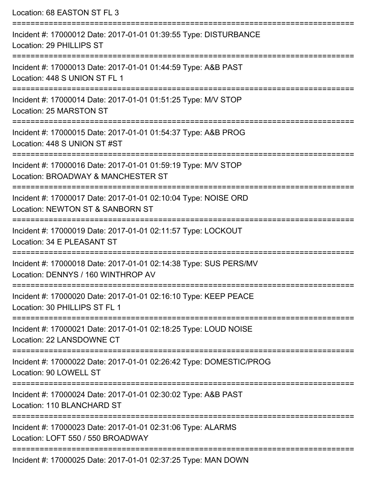| Location: 68 EASTON ST FL 3                                                                                                                                        |
|--------------------------------------------------------------------------------------------------------------------------------------------------------------------|
| Incident #: 17000012 Date: 2017-01-01 01:39:55 Type: DISTURBANCE<br>Location: 29 PHILLIPS ST<br>==================================<br>---------------------------- |
| Incident #: 17000013 Date: 2017-01-01 01:44:59 Type: A&B PAST<br>Location: 448 S UNION ST FL 1                                                                     |
| Incident #: 17000014 Date: 2017-01-01 01:51:25 Type: M/V STOP<br>Location: 25 MARSTON ST                                                                           |
| Incident #: 17000015 Date: 2017-01-01 01:54:37 Type: A&B PROG<br>Location: 448 S UNION ST #ST                                                                      |
| Incident #: 17000016 Date: 2017-01-01 01:59:19 Type: M/V STOP<br>Location: BROADWAY & MANCHESTER ST                                                                |
| Incident #: 17000017 Date: 2017-01-01 02:10:04 Type: NOISE ORD<br>Location: NEWTON ST & SANBORN ST                                                                 |
| :=====================<br>Incident #: 17000019 Date: 2017-01-01 02:11:57 Type: LOCKOUT<br>Location: 34 E PLEASANT ST                                               |
| Incident #: 17000018 Date: 2017-01-01 02:14:38 Type: SUS PERS/MV<br>Location: DENNYS / 160 WINTHROP AV                                                             |
| Incident #: 17000020 Date: 2017-01-01 02:16:10 Type: KEEP PEACE<br>Location: 30 PHILLIPS ST FL 1                                                                   |
| Incident #: 17000021 Date: 2017-01-01 02:18:25 Type: LOUD NOISE<br>Location: 22 LANSDOWNE CT                                                                       |
| Incident #: 17000022 Date: 2017-01-01 02:26:42 Type: DOMESTIC/PROG<br>Location: 90 LOWELL ST                                                                       |
| Incident #: 17000024 Date: 2017-01-01 02:30:02 Type: A&B PAST<br>Location: 110 BLANCHARD ST                                                                        |
| Incident #: 17000023 Date: 2017-01-01 02:31:06 Type: ALARMS<br>Location: LOFT 550 / 550 BROADWAY                                                                   |
| Incident #: 17000025 Date: 2017-01-01 02:37:25 Type: MAN DOWN                                                                                                      |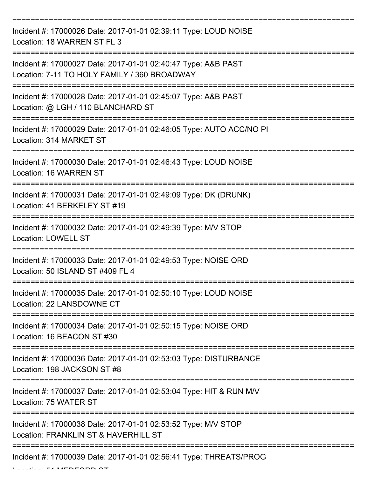| Incident #: 17000026 Date: 2017-01-01 02:39:11 Type: LOUD NOISE<br>Location: 18 WARREN ST FL 3                |
|---------------------------------------------------------------------------------------------------------------|
| Incident #: 17000027 Date: 2017-01-01 02:40:47 Type: A&B PAST<br>Location: 7-11 TO HOLY FAMILY / 360 BROADWAY |
| Incident #: 17000028 Date: 2017-01-01 02:45:07 Type: A&B PAST<br>Location: @ LGH / 110 BLANCHARD ST           |
| Incident #: 17000029 Date: 2017-01-01 02:46:05 Type: AUTO ACC/NO PI<br>Location: 314 MARKET ST                |
| Incident #: 17000030 Date: 2017-01-01 02:46:43 Type: LOUD NOISE<br>Location: 16 WARREN ST                     |
| Incident #: 17000031 Date: 2017-01-01 02:49:09 Type: DK (DRUNK)<br>Location: 41 BERKELEY ST #19               |
| Incident #: 17000032 Date: 2017-01-01 02:49:39 Type: M/V STOP<br><b>Location: LOWELL ST</b>                   |
| Incident #: 17000033 Date: 2017-01-01 02:49:53 Type: NOISE ORD<br>Location: 50 ISLAND ST #409 FL 4            |
| Incident #: 17000035 Date: 2017-01-01 02:50:10 Type: LOUD NOISE<br>Location: 22 LANSDOWNE CT                  |
| Incident #: 17000034 Date: 2017-01-01 02:50:15 Type: NOISE ORD<br>Location: 16 BEACON ST #30                  |
| Incident #: 17000036 Date: 2017-01-01 02:53:03 Type: DISTURBANCE<br>Location: 198 JACKSON ST #8               |
| Incident #: 17000037 Date: 2017-01-01 02:53:04 Type: HIT & RUN M/V<br>Location: 75 WATER ST                   |
| Incident #: 17000038 Date: 2017-01-01 02:53:52 Type: M/V STOP<br>Location: FRANKLIN ST & HAVERHILL ST         |
| Incident #: 17000039 Date: 2017-01-01 02:56:41 Type: THREATS/PROG                                             |

 $L$ .... $F$  MEDFORD  $\Delta T$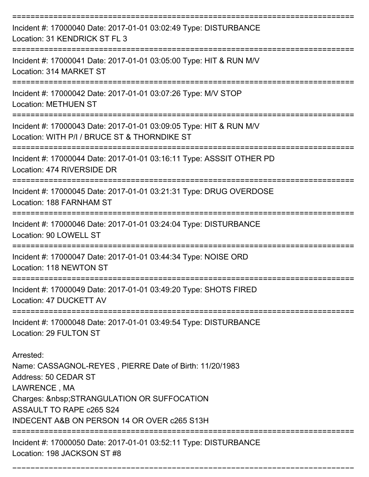| Incident #: 17000040 Date: 2017-01-01 03:02:49 Type: DISTURBANCE<br>Location: 31 KENDRICK ST FL 3                                                                                                                                         |
|-------------------------------------------------------------------------------------------------------------------------------------------------------------------------------------------------------------------------------------------|
| Incident #: 17000041 Date: 2017-01-01 03:05:00 Type: HIT & RUN M/V<br>Location: 314 MARKET ST                                                                                                                                             |
| Incident #: 17000042 Date: 2017-01-01 03:07:26 Type: M/V STOP<br><b>Location: METHUEN ST</b>                                                                                                                                              |
| Incident #: 17000043 Date: 2017-01-01 03:09:05 Type: HIT & RUN M/V<br>Location: WITH P/I / BRUCE ST & THORNDIKE ST                                                                                                                        |
| Incident #: 17000044 Date: 2017-01-01 03:16:11 Type: ASSSIT OTHER PD<br>Location: 474 RIVERSIDE DR                                                                                                                                        |
| =================================<br>Incident #: 17000045 Date: 2017-01-01 03:21:31 Type: DRUG OVERDOSE<br>Location: 188 FARNHAM ST                                                                                                       |
| Incident #: 17000046 Date: 2017-01-01 03:24:04 Type: DISTURBANCE<br>Location: 90 LOWELL ST                                                                                                                                                |
| Incident #: 17000047 Date: 2017-01-01 03:44:34 Type: NOISE ORD<br>Location: 118 NEWTON ST                                                                                                                                                 |
| Incident #: 17000049 Date: 2017-01-01 03:49:20 Type: SHOTS FIRED<br>Location: 47 DUCKETT AV                                                                                                                                               |
| Incident #: 17000048 Date: 2017-01-01 03:49:54 Type: DISTURBANCE<br>Location: 29 FULTON ST                                                                                                                                                |
| Arrested:<br>Name: CASSAGNOL-REYES, PIERRE Date of Birth: 11/20/1983<br>Address: 50 CEDAR ST<br>LAWRENCE, MA<br>Charges:   STRANGULATION OR SUFFOCATION<br><b>ASSAULT TO RAPE c265 S24</b><br>INDECENT A&B ON PERSON 14 OR OVER c265 S13H |
| Incident #: 17000050 Date: 2017-01-01 03:52:11 Type: DISTURBANCE<br>Location: 198 JACKSON ST #8                                                                                                                                           |

===========================================================================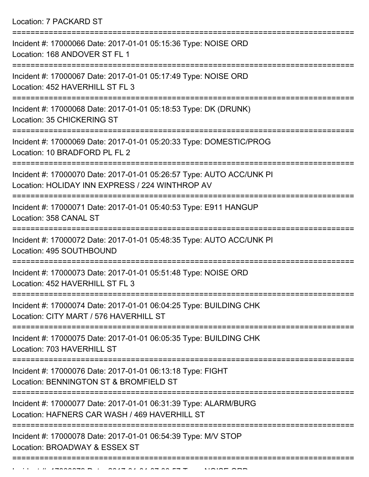Location: 7 PACKARD ST

| Incident #: 17000066 Date: 2017-01-01 05:15:36 Type: NOISE ORD<br>Location: 168 ANDOVER ST FL 1                         |
|-------------------------------------------------------------------------------------------------------------------------|
| Incident #: 17000067 Date: 2017-01-01 05:17:49 Type: NOISE ORD<br>Location: 452 HAVERHILL ST FL 3                       |
| Incident #: 17000068 Date: 2017-01-01 05:18:53 Type: DK (DRUNK)<br>Location: 35 CHICKERING ST                           |
| Incident #: 17000069 Date: 2017-01-01 05:20:33 Type: DOMESTIC/PROG<br>Location: 10 BRADFORD PL FL 2                     |
| Incident #: 17000070 Date: 2017-01-01 05:26:57 Type: AUTO ACC/UNK PI<br>Location: HOLIDAY INN EXPRESS / 224 WINTHROP AV |
| Incident #: 17000071 Date: 2017-01-01 05:40:53 Type: E911 HANGUP<br>Location: 358 CANAL ST                              |
| Incident #: 17000072 Date: 2017-01-01 05:48:35 Type: AUTO ACC/UNK PI<br>Location: 495 SOUTHBOUND                        |
| Incident #: 17000073 Date: 2017-01-01 05:51:48 Type: NOISE ORD<br>Location: 452 HAVERHILL ST FL 3<br>--------           |
| Incident #: 17000074 Date: 2017-01-01 06:04:25 Type: BUILDING CHK<br>Location: CITY MART / 576 HAVERHILL ST             |
| Incident #: 17000075 Date: 2017-01-01 06:05:35 Type: BUILDING CHK<br>Location: 703 HAVERHILL ST                         |
| Incident #: 17000076 Date: 2017-01-01 06:13:18 Type: FIGHT<br>Location: BENNINGTON ST & BROMFIELD ST                    |
| Incident #: 17000077 Date: 2017-01-01 06:31:39 Type: ALARM/BURG<br>Location: HAFNERS CAR WASH / 469 HAVERHILL ST        |
| Incident #: 17000078 Date: 2017-01-01 06:54:39 Type: M/V STOP<br>Location: BROADWAY & ESSEX ST                          |
|                                                                                                                         |

 $I = I$  . In condition  $I = I$  or  $I = I$  or  $I = I$  or  $S = I$  the  $I = I$  or  $S = I$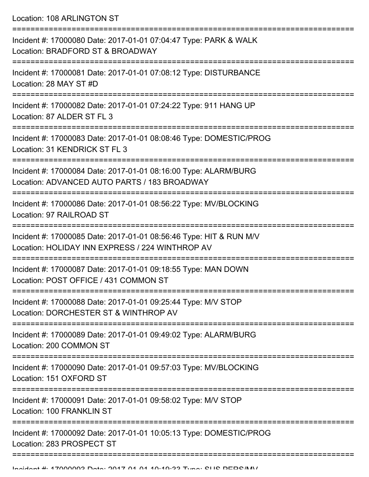Location: 108 ARLINGTON ST

| Incident #: 17000080 Date: 2017-01-01 07:04:47 Type: PARK & WALK<br>Location: BRADFORD ST & BROADWAY                  |
|-----------------------------------------------------------------------------------------------------------------------|
| Incident #: 17000081 Date: 2017-01-01 07:08:12 Type: DISTURBANCE<br>Location: 28 MAY ST #D                            |
| Incident #: 17000082 Date: 2017-01-01 07:24:22 Type: 911 HANG UP<br>Location: 87 ALDER ST FL 3                        |
| Incident #: 17000083 Date: 2017-01-01 08:08:46 Type: DOMESTIC/PROG<br>Location: 31 KENDRICK ST FL 3                   |
| Incident #: 17000084 Date: 2017-01-01 08:16:00 Type: ALARM/BURG<br>Location: ADVANCED AUTO PARTS / 183 BROADWAY       |
| Incident #: 17000086 Date: 2017-01-01 08:56:22 Type: MV/BLOCKING<br>Location: 97 RAILROAD ST                          |
| Incident #: 17000085 Date: 2017-01-01 08:56:46 Type: HIT & RUN M/V<br>Location: HOLIDAY INN EXPRESS / 224 WINTHROP AV |
| Incident #: 17000087 Date: 2017-01-01 09:18:55 Type: MAN DOWN<br>Location: POST OFFICE / 431 COMMON ST                |
| Incident #: 17000088 Date: 2017-01-01 09:25:44 Type: M/V STOP<br>Location: DORCHESTER ST & WINTHROP AV                |
| Incident #: 17000089 Date: 2017-01-01 09:49:02 Type: ALARM/BURG<br>Location: 200 COMMON ST                            |
| Incident #: 17000090 Date: 2017-01-01 09:57:03 Type: MV/BLOCKING<br>Location: 151 OXFORD ST                           |
| Incident #: 17000091 Date: 2017-01-01 09:58:02 Type: M/V STOP<br><b>Location: 100 FRANKLIN ST</b>                     |
| Incident #: 17000092 Date: 2017-01-01 10:05:13 Type: DOMESTIC/PROG<br>Location: 283 PROSPECT ST                       |
|                                                                                                                       |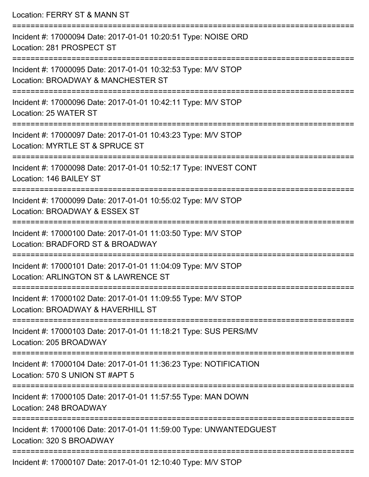Location: FERRY ST & MANN ST =========================================================================== Incident #: 17000094 Date: 2017-01-01 10:20:51 Type: NOISE ORD Location: 281 PROSPECT ST =========================================================================== Incident #: 17000095 Date: 2017-01-01 10:32:53 Type: M/V STOP Location: BROADWAY & MANCHESTER ST =========================================================================== Incident #: 17000096 Date: 2017-01-01 10:42:11 Type: M/V STOP Location: 25 WATER ST =========================================================================== Incident #: 17000097 Date: 2017-01-01 10:43:23 Type: M/V STOP Location: MYRTLE ST & SPRUCE ST =========================================================================== Incident #: 17000098 Date: 2017-01-01 10:52:17 Type: INVEST CONT Location: 146 BAILEY ST =========================================================================== Incident #: 17000099 Date: 2017-01-01 10:55:02 Type: M/V STOP Location: BROADWAY & ESSEX ST =========================================================================== Incident #: 17000100 Date: 2017-01-01 11:03:50 Type: M/V STOP Location: BRADFORD ST & BROADWAY =========================================================================== Incident #: 17000101 Date: 2017-01-01 11:04:09 Type: M/V STOP Location: ARLINGTON ST & LAWRENCE ST =========================================================================== Incident #: 17000102 Date: 2017-01-01 11:09:55 Type: M/V STOP Location: BROADWAY & HAVERHILL ST =========================================================================== Incident #: 17000103 Date: 2017-01-01 11:18:21 Type: SUS PERS/MV Location: 205 BROADWAY =========================================================================== Incident #: 17000104 Date: 2017-01-01 11:36:23 Type: NOTIFICATION Location: 570 S UNION ST #APT 5 =========================================================================== Incident #: 17000105 Date: 2017-01-01 11:57:55 Type: MAN DOWN Location: 248 BROADWAY =========================================================================== Incident #: 17000106 Date: 2017-01-01 11:59:00 Type: UNWANTEDGUEST Location: 320 S BROADWAY ===========================================================================

Incident #: 17000107 Date: 2017-01-01 12:10:40 Type: M/V STOP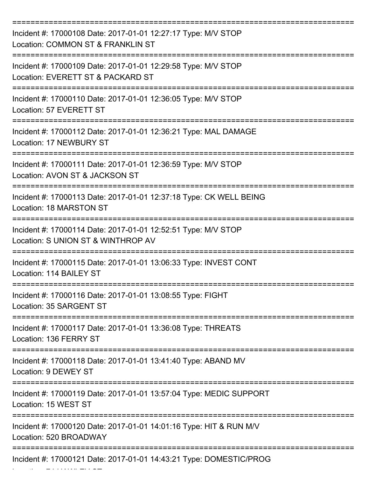| Incident #: 17000108 Date: 2017-01-01 12:27:17 Type: M/V STOP<br>Location: COMMON ST & FRANKLIN ST                                       |
|------------------------------------------------------------------------------------------------------------------------------------------|
| Incident #: 17000109 Date: 2017-01-01 12:29:58 Type: M/V STOP<br>Location: EVERETT ST & PACKARD ST                                       |
| Incident #: 17000110 Date: 2017-01-01 12:36:05 Type: M/V STOP<br>Location: 57 EVERETT ST                                                 |
| Incident #: 17000112 Date: 2017-01-01 12:36:21 Type: MAL DAMAGE<br>Location: 17 NEWBURY ST                                               |
| Incident #: 17000111 Date: 2017-01-01 12:36:59 Type: M/V STOP<br>Location: AVON ST & JACKSON ST                                          |
| ====================<br>===============<br>Incident #: 17000113 Date: 2017-01-01 12:37:18 Type: CK WELL BEING<br>Location: 18 MARSTON ST |
| Incident #: 17000114 Date: 2017-01-01 12:52:51 Type: M/V STOP<br>Location: S UNION ST & WINTHROP AV                                      |
| Incident #: 17000115 Date: 2017-01-01 13:06:33 Type: INVEST CONT<br>Location: 114 BAILEY ST                                              |
| Incident #: 17000116 Date: 2017-01-01 13:08:55 Type: FIGHT<br>Location: 35 SARGENT ST                                                    |
| Incident #: 17000117 Date: 2017-01-01 13:36:08 Type: THREATS<br>Location: 136 FERRY ST                                                   |
| Incident #: 17000118 Date: 2017-01-01 13:41:40 Type: ABAND MV<br>Location: 9 DEWEY ST                                                    |
| Incident #: 17000119 Date: 2017-01-01 13:57:04 Type: MEDIC SUPPORT<br>Location: 15 WEST ST                                               |
| Incident #: 17000120 Date: 2017-01-01 14:01:16 Type: HIT & RUN M/V<br>Location: 520 BROADWAY                                             |
| Incident #: 17000121 Date: 2017-01-01 14:43:21 Type: DOMESTIC/PROG                                                                       |

 $\mathcal{L}_{\mathcal{A}}$  ,  $\mathcal{L}_{\mathcal{A}}$  Hawley Station: 74 Hawley Station: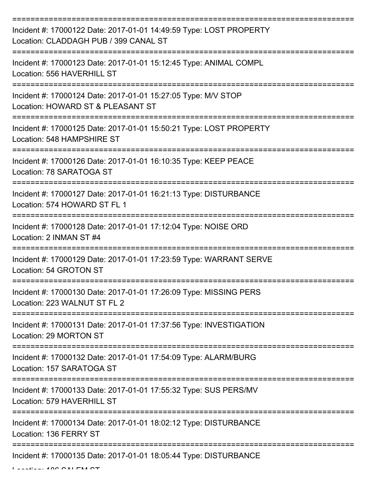| Incident #: 17000122 Date: 2017-01-01 14:49:59 Type: LOST PROPERTY<br>Location: CLADDAGH PUB / 399 CANAL ST |
|-------------------------------------------------------------------------------------------------------------|
| Incident #: 17000123 Date: 2017-01-01 15:12:45 Type: ANIMAL COMPL<br>Location: 556 HAVERHILL ST             |
| Incident #: 17000124 Date: 2017-01-01 15:27:05 Type: M/V STOP<br>Location: HOWARD ST & PLEASANT ST          |
| Incident #: 17000125 Date: 2017-01-01 15:50:21 Type: LOST PROPERTY<br>Location: 548 HAMPSHIRE ST            |
| Incident #: 17000126 Date: 2017-01-01 16:10:35 Type: KEEP PEACE<br>Location: 78 SARATOGA ST                 |
| Incident #: 17000127 Date: 2017-01-01 16:21:13 Type: DISTURBANCE<br>Location: 574 HOWARD ST FL 1            |
| Incident #: 17000128 Date: 2017-01-01 17:12:04 Type: NOISE ORD<br>Location: 2 INMAN ST #4                   |
| Incident #: 17000129 Date: 2017-01-01 17:23:59 Type: WARRANT SERVE<br>Location: 54 GROTON ST                |
| Incident #: 17000130 Date: 2017-01-01 17:26:09 Type: MISSING PERS<br>Location: 223 WALNUT ST FL 2           |
| Incident #: 17000131 Date: 2017-01-01 17:37:56 Type: INVESTIGATION<br>Location: 29 MORTON ST                |
| Incident #: 17000132 Date: 2017-01-01 17:54:09 Type: ALARM/BURG<br>Location: 157 SARATOGA ST                |
| Incident #: 17000133 Date: 2017-01-01 17:55:32 Type: SUS PERS/MV<br>Location: 579 HAVERHILL ST              |
| Incident #: 17000134 Date: 2017-01-01 18:02:12 Type: DISTURBANCE<br>Location: 136 FERRY ST                  |
| Incident #: 17000135 Date: 2017-01-01 18:05:44 Type: DISTURBANCE                                            |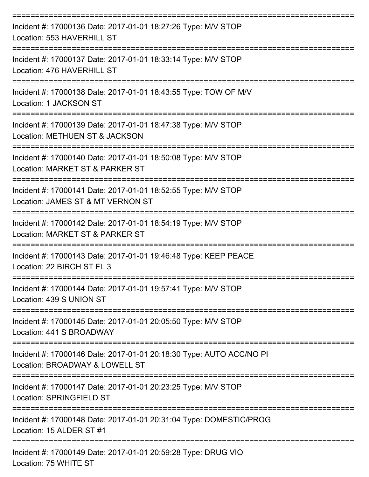| Incident #: 17000136 Date: 2017-01-01 18:27:26 Type: M/V STOP<br>Location: 553 HAVERHILL ST           |
|-------------------------------------------------------------------------------------------------------|
| Incident #: 17000137 Date: 2017-01-01 18:33:14 Type: M/V STOP<br>Location: 476 HAVERHILL ST           |
| Incident #: 17000138 Date: 2017-01-01 18:43:55 Type: TOW OF M/V<br>Location: 1 JACKSON ST             |
| Incident #: 17000139 Date: 2017-01-01 18:47:38 Type: M/V STOP<br>Location: METHUEN ST & JACKSON       |
| Incident #: 17000140 Date: 2017-01-01 18:50:08 Type: M/V STOP<br>Location: MARKET ST & PARKER ST      |
| Incident #: 17000141 Date: 2017-01-01 18:52:55 Type: M/V STOP<br>Location: JAMES ST & MT VERNON ST    |
| Incident #: 17000142 Date: 2017-01-01 18:54:19 Type: M/V STOP<br>Location: MARKET ST & PARKER ST      |
| Incident #: 17000143 Date: 2017-01-01 19:46:48 Type: KEEP PEACE<br>Location: 22 BIRCH ST FL 3         |
| Incident #: 17000144 Date: 2017-01-01 19:57:41 Type: M/V STOP<br>Location: 439 S UNION ST             |
| Incident #: 17000145 Date: 2017-01-01 20:05:50 Type: M/V STOP<br>Location: 441 S BROADWAY             |
| Incident #: 17000146 Date: 2017-01-01 20:18:30 Type: AUTO ACC/NO PI<br>Location: BROADWAY & LOWELL ST |
| Incident #: 17000147 Date: 2017-01-01 20:23:25 Type: M/V STOP<br>Location: SPRINGFIELD ST             |
| Incident #: 17000148 Date: 2017-01-01 20:31:04 Type: DOMESTIC/PROG<br>Location: 15 ALDER ST #1        |
| Incident #: 17000149 Date: 2017-01-01 20:59:28 Type: DRUG VIO<br>Location: 75 WHITE ST                |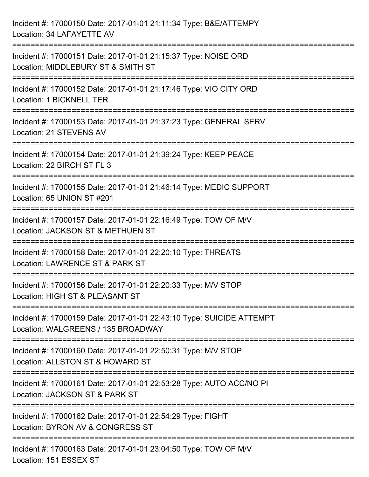| Incident #: 17000150 Date: 2017-01-01 21:11:34 Type: B&E/ATTEMPY<br>Location: 34 LAFAYETTE AV                                            |
|------------------------------------------------------------------------------------------------------------------------------------------|
| Incident #: 17000151 Date: 2017-01-01 21:15:37 Type: NOISE ORD<br>Location: MIDDLEBURY ST & SMITH ST                                     |
| Incident #: 17000152 Date: 2017-01-01 21:17:46 Type: VIO CITY ORD<br>Location: 1 BICKNELL TER                                            |
| Incident #: 17000153 Date: 2017-01-01 21:37:23 Type: GENERAL SERV<br><b>Location: 21 STEVENS AV</b>                                      |
| Incident #: 17000154 Date: 2017-01-01 21:39:24 Type: KEEP PEACE<br>Location: 22 BIRCH ST FL 3                                            |
| Incident #: 17000155 Date: 2017-01-01 21:46:14 Type: MEDIC SUPPORT<br>Location: 65 UNION ST #201                                         |
| Incident #: 17000157 Date: 2017-01-01 22:16:49 Type: TOW OF M/V<br>Location: JACKSON ST & METHUEN ST                                     |
| Incident #: 17000158 Date: 2017-01-01 22:20:10 Type: THREATS<br>Location: LAWRENCE ST & PARK ST                                          |
| Incident #: 17000156 Date: 2017-01-01 22:20:33 Type: M/V STOP<br>Location: HIGH ST & PLEASANT ST                                         |
| --------------------------<br>Incident #: 17000159 Date: 2017-01-01 22:43:10 Type: SUICIDE ATTEMPT<br>Location: WALGREENS / 135 BROADWAY |
| Incident #: 17000160 Date: 2017-01-01 22:50:31 Type: M/V STOP<br>Location: ALLSTON ST & HOWARD ST                                        |
| Incident #: 17000161 Date: 2017-01-01 22:53:28 Type: AUTO ACC/NO PI<br>Location: JACKSON ST & PARK ST                                    |
| ------------------------<br>Incident #: 17000162 Date: 2017-01-01 22:54:29 Type: FIGHT<br>Location: BYRON AV & CONGRESS ST               |
| Incident #: 17000163 Date: 2017-01-01 23:04:50 Type: TOW OF M/V<br>Location: 151 ESSEX ST                                                |